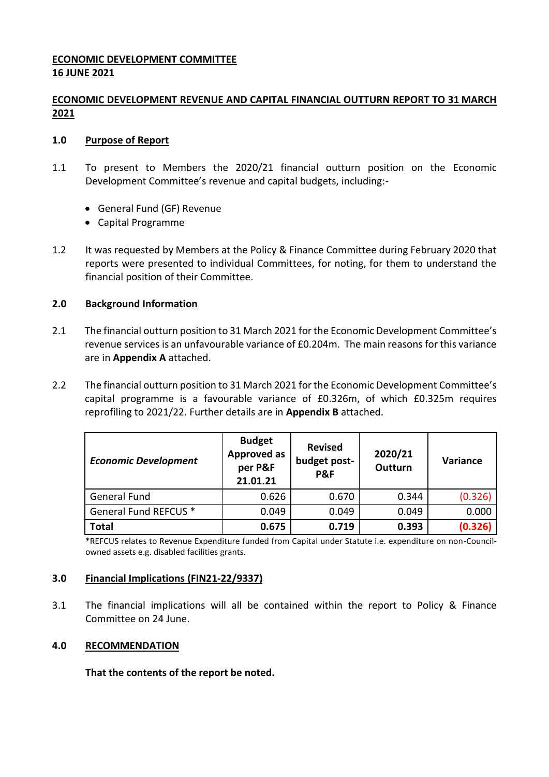## **ECONOMIC DEVELOPMENT COMMITTEE 16 JUNE 2021**

## **ECONOMIC DEVELOPMENT REVENUE AND CAPITAL FINANCIAL OUTTURN REPORT TO 31 MARCH 2021**

### **1.0 Purpose of Report**

- 1.1 To present to Members the 2020/21 financial outturn position on the Economic Development Committee's revenue and capital budgets, including:-
	- General Fund (GF) Revenue
	- Capital Programme
- 1.2 It was requested by Members at the Policy & Finance Committee during February 2020 that reports were presented to individual Committees, for noting, for them to understand the financial position of their Committee.

### **2.0 Background Information**

- 2.1 The financial outturn position to 31 March 2021 for the Economic Development Committee's revenue services is an unfavourable variance of £0.204m. The main reasons for this variance are in **Appendix A** attached.
- 2.2 The financial outturn position to 31 March 2021 for the Economic Development Committee's capital programme is a favourable variance of £0.326m, of which £0.325m requires reprofiling to 2021/22. Further details are in **Appendix B** attached.

| <b>Economic Development</b> | <b>Budget</b><br><b>Approved as</b><br>per P&F<br>21.01.21 | <b>Revised</b><br>budget post-<br>P&F | 2020/21<br>Outturn | Variance |
|-----------------------------|------------------------------------------------------------|---------------------------------------|--------------------|----------|
| <b>General Fund</b>         | 0.626                                                      | 0.670                                 | 0.344              | (0.326)  |
| General Fund REFCUS *       | 0.049                                                      | 0.049                                 | 0.049              | 0.000    |
| <b>Total</b>                | 0.675                                                      | 0.719                                 | 0.393              | (0.326)  |

\*REFCUS relates to Revenue Expenditure funded from Capital under Statute i.e. expenditure on non-Councilowned assets e.g. disabled facilities grants.

#### **3.0 Financial Implications (FIN21-22/9337)**

3.1 The financial implications will all be contained within the report to Policy & Finance Committee on 24 June.

#### **4.0 RECOMMENDATION**

**That the contents of the report be noted.**